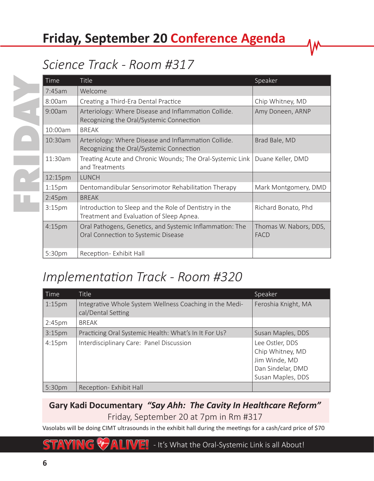# **Friday, September 20 Conference Agenda**

### *Science Track - Room #317*

| <b>Time</b>        | <b>Title</b>                                                                                       | Speaker                               |
|--------------------|----------------------------------------------------------------------------------------------------|---------------------------------------|
| 7:45am             | Welcome                                                                                            |                                       |
| 8:00am             | Creating a Third-Era Dental Practice                                                               | Chip Whitney, MD                      |
| 9:00am             | Arteriology: Where Disease and Inflammation Collide.<br>Recognizing the Oral/Systemic Connection   | Amy Doneen, ARNP                      |
| 10:00am            | <b>BREAK</b>                                                                                       |                                       |
| 10:30am            | Arteriology: Where Disease and Inflammation Collide.<br>Recognizing the Oral/Systemic Connection   | Brad Bale, MD                         |
| 11:30am            | Treating Acute and Chronic Wounds; The Oral-Systemic Link<br>and Treatments                        | Duane Keller, DMD                     |
| 12:15pm            | <b>LUNCH</b>                                                                                       |                                       |
| 1:15 <sub>pm</sub> | Dentomandibular Sensorimotor Rehabilitation Therapy                                                | Mark Montgomery, DMD                  |
| 2:45 <sub>pm</sub> | <b>BREAK</b>                                                                                       |                                       |
| 3:15 <sub>pm</sub> | Introduction to Sleep and the Role of Dentistry in the<br>Treatment and Evaluation of Sleep Apnea. | Richard Bonato, Phd                   |
| 4:15pm             | Oral Pathogens, Genetics, and Systemic Inflammation: The<br>Oral Connection to Systemic Disease    | Thomas W. Nabors, DDS,<br><b>FACD</b> |
| 5:30pm             | Reception - Exhibit Hall                                                                           |                                       |

### *Implementation Track - Room #320*

| Time               | Title                                                                         | Speaker                                                                                        |
|--------------------|-------------------------------------------------------------------------------|------------------------------------------------------------------------------------------------|
| $1:15$ pm          | Integrative Whole System Wellness Coaching in the Medi-<br>cal/Dental Setting | Feroshia Knight, MA                                                                            |
| 2:45 <sub>pm</sub> | <b>BREAK</b>                                                                  |                                                                                                |
| 3:15 <sub>pm</sub> | Practicing Oral Systemic Health: What's In It For Us?                         | Susan Maples, DDS                                                                              |
| 4:15 <sub>pm</sub> | Interdisciplinary Care: Panel Discussion                                      | Lee Ostler, DDS<br>Chip Whitney, MD<br>Jim Winde, MD<br>Dan Sindelar, DMD<br>Susan Maples, DDS |
| 5:30pm             | Reception- Exhibit Hall                                                       |                                                                                                |

#### **Gary Kadi Documentary** *"Say Ahh: The Cavity In Healthcare Reform"* Friday, September 20 at 7pm in Rm #317

Vasolabs will be doing CIMT ultrasounds in the exhibit hall during the meetings for a cash/card price of \$70

#### $\overline{\text{ALINSE}}$  - It's What the Oral-Systemic Link is all About!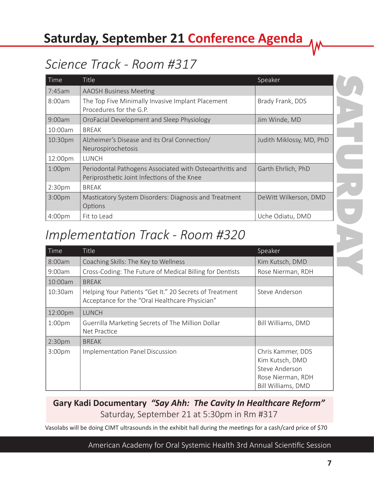# **Saturday, September 21 Conference Agenda**

# *Science Track - Room #317*

| Time               | <b>Title</b>                                                                                            | Speaker                  |
|--------------------|---------------------------------------------------------------------------------------------------------|--------------------------|
| 7:45am             | <b>AAOSH Business Meeting</b>                                                                           |                          |
| 8:00am             | The Top Five Minimally Invasive Implant Placement<br>Procedures for the G.P.                            | Brady Frank, DDS         |
| 9:00am             | OroFacial Development and Sleep Physiology                                                              | Jim Winde, MD            |
| 10:00am            | <b>BREAK</b>                                                                                            |                          |
| 10:30pm            | Alzheimer's Disease and its Oral Connection/<br>Neurospirochetosis                                      | Judith Miklossy, MD, PhD |
| 12:00pm            | <b>LUNCH</b>                                                                                            |                          |
| 1:00 <sub>pm</sub> | Periodontal Pathogens Associated with Osteoarthritis and<br>Periprosthetic Joint Infections of the Knee | Garth Ehrlich, PhD       |
| 2:30 <sub>pm</sub> | <b>BREAK</b>                                                                                            |                          |
| 3:00 <sub>pm</sub> | Masticatory System Disorders: Diagnosis and Treatment<br>Options                                        | DeWitt Wilkerson, DMD    |
| 4:00 <sub>pm</sub> | Fit to Lead                                                                                             | Uche Odiatu, DMD         |

### *Implementation Track - Room #320*

| Time               | <b>Title</b>                                                                                              | Speaker                                                                                                  |
|--------------------|-----------------------------------------------------------------------------------------------------------|----------------------------------------------------------------------------------------------------------|
| 8:00am             | Coaching Skills: The Key to Wellness                                                                      | Kim Kutsch, DMD                                                                                          |
| $9:00$ am          | Cross-Coding: The Future of Medical Billing for Dentists                                                  | Rose Nierman, RDH                                                                                        |
| 10:00am            | <b>BREAK</b>                                                                                              |                                                                                                          |
| 10:30am            | Helping Your Patients "Get It." 20 Secrets of Treatment<br>Acceptance for the "Oral Healthcare Physician" | Steve Anderson                                                                                           |
| 12:00pm            | <b>LUNCH</b>                                                                                              |                                                                                                          |
| 1:00 <sub>pm</sub> | Guerrilla Marketing Secrets of The Million Dollar<br>Net Practice                                         | Bill Williams, DMD                                                                                       |
| 2:30 <sub>pm</sub> | <b>BREAK</b>                                                                                              |                                                                                                          |
| 3:00 <sub>pm</sub> | Implementation Panel Discussion                                                                           | Chris Kammer, DDS<br>Kim Kutsch, DMD<br>Steve Anderson<br>Rose Nierman, RDH<br><b>Bill Williams, DMD</b> |

#### **Gary Kadi Documentary** *"Say Ahh: The Cavity In Healthcare Reform"* Saturday, September 21 at 5:30pm in Rm #317

Vasolabs will be doing CIMT ultrasounds in the exhibit hall during the meetings for a cash/card price of \$70

American Academy for Oral Systemic Health 3rd Annual Scientific Session

SATURDAY

**7**